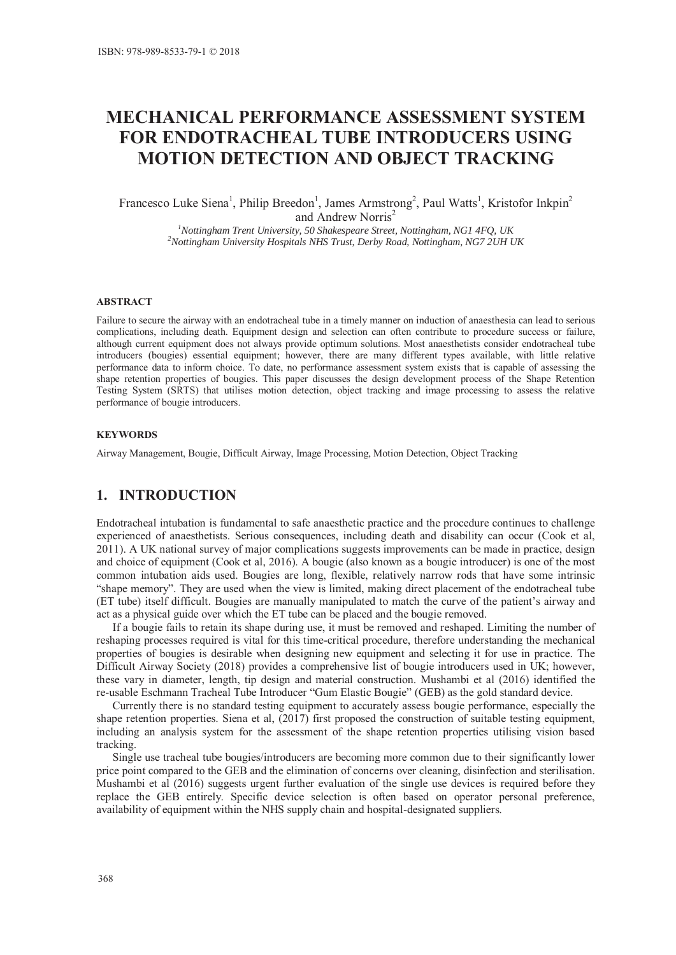# **MECHANICAL PERFORMANCE ASSESSMENT SYSTEM FOR ENDOTRACHEAL TUBE INTRODUCERS USING MOTION DETECTION AND OBJECT TRACKING**

Francesco Luke Siena<sup>1</sup>, Philip Breedon<sup>1</sup>, James Armstrong<sup>2</sup>, Paul Watts<sup>1</sup>, Kristofor Inkpin<sup>2</sup> and Andrew Norris<sup>2</sup>

> <sup>1</sup><br>
> <sup>1</sup>Nottingham Trent University, 50 Shakespeare Street, Nottingham, NG1 4FQ, UK<br>
> <sup>2</sup>Nottingham University Hespitals NHS Trust, Derby Poad, Nottingham, NG7 211H *Nottingham University Hospitals NHS Trust, Derby Road, Nottingham, NG7 2UH UK*

#### **ABSTRACT**

Failure to secure the airway with an endotracheal tube in a timely manner on induction of anaesthesia can lead to serious complications, including death. Equipment design and selection can often contribute to procedure success or failure, although current equipment does not always provide optimum solutions. Most anaesthetists consider endotracheal tube introducers (bougies) essential equipment; however, there are many different types available, with little relative performance data to inform choice. To date, no performance assessment system exists that is capable of assessing the shape retention properties of bougies. This paper discusses the design development process of the Shape Retention Testing System (SRTS) that utilises motion detection, object tracking and image processing to assess the relative performance of bougie introducers.

#### **KEYWORDS**

Airway Management, Bougie, Difficult Airway, Image Processing, Motion Detection, Object Tracking

### **1. INTRODUCTION**

Endotracheal intubation is fundamental to safe anaesthetic practice and the procedure continues to challenge experienced of anaesthetists. Serious consequences, including death and disability can occur (Cook et al, 2011). A UK national survey of major complications suggests improvements can be made in practice, design and choice of equipment (Cook et al, 2016). A bougie (also known as a bougie introducer) is one of the most common intubation aids used. Bougies are long, flexible, relatively narrow rods that have some intrinsic "shape memory". They are used when the view is limited, making direct placement of the endotracheal tube (ET tube) itself difficult. Bougies are manually manipulated to match the curve of the patient's airway and act as a physical guide over which the ET tube can be placed and the bougie removed.

If a bougie fails to retain its shape during use, it must be removed and reshaped. Limiting the number of reshaping processes required is vital for this time-critical procedure, therefore understanding the mechanical properties of bougies is desirable when designing new equipment and selecting it for use in practice. The Difficult Airway Society (2018) provides a comprehensive list of bougie introducers used in UK; however, these vary in diameter, length, tip design and material construction. Mushambi et al (2016) identified the re-usable Eschmann Tracheal Tube Introducer "Gum Elastic Bougie" (GEB) as the gold standard device.

Currently there is no standard testing equipment to accurately assess bougie performance, especially the shape retention properties. Siena et al, (2017) first proposed the construction of suitable testing equipment, including an analysis system for the assessment of the shape retention properties utilising vision based tracking.

Single use tracheal tube bougies/introducers are becoming more common due to their significantly lower price point compared to the GEB and the elimination of concerns over cleaning, disinfection and sterilisation. Mushambi et al (2016) suggests urgent further evaluation of the single use devices is required before they replace the GEB entirely. Specific device selection is often based on operator personal preference, availability of equipment within the NHS supply chain and hospital-designated suppliers.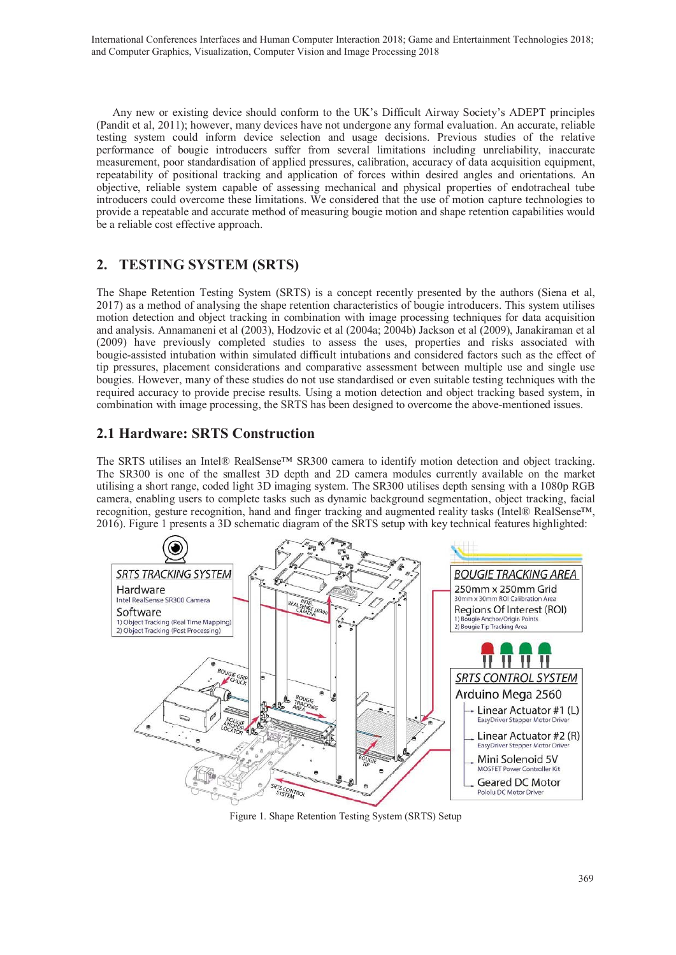Any new or existing device should conform to the UK's Difficult Airway Society's ADEPT principles (Pandit et al, 2011); however, many devices have not undergone any formal evaluation. An accurate, reliable testing system could inform device selection and usage decisions. Previous studies of the relative performance of bougie introducers suffer from several limitations including unreliability, inaccurate measurement, poor standardisation of applied pressures, calibration, accuracy of data acquisition equipment, repeatability of positional tracking and application of forces within desired angles and orientations. An objective, reliable system capable of assessing mechanical and physical properties of endotracheal tube introducers could overcome these limitations. We considered that the use of motion capture technologies to provide a repeatable and accurate method of measuring bougie motion and shape retention capabilities would be a reliable cost effective approach.

# **2. TESTING SYSTEM (SRTS)**

The Shape Retention Testing System (SRTS) is a concept recently presented by the authors (Siena et al, 2017) as a method of analysing the shape retention characteristics of bougie introducers. This system utilises motion detection and object tracking in combination with image processing techniques for data acquisition and analysis. Annamaneni et al (2003), Hodzovic et al (2004a; 2004b) Jackson et al (2009), Janakiraman et al (2009) have previously completed studies to assess the uses, properties and risks associated with bougie-assisted intubation within simulated difficult intubations and considered factors such as the effect of tip pressures, placement considerations and comparative assessment between multiple use and single use bougies. However, many of these studies do not use standardised or even suitable testing techniques with the required accuracy to provide precise results. Using a motion detection and object tracking based system, in combination with image processing, the SRTS has been designed to overcome the above-mentioned issues.

## **2.1 Hardware: SRTS Construction**

The SRTS utilises an Intel® RealSense™ SR300 camera to identify motion detection and object tracking. The SR300 is one of the smallest 3D depth and 2D camera modules currently available on the market utilising a short range, coded light 3D imaging system. The SR300 utilises depth sensing with a 1080p RGB camera, enabling users to complete tasks such as dynamic background segmentation, object tracking, facial recognition, gesture recognition, hand and finger tracking and augmented reality tasks (Intel® RealSense™, 2016). Figure 1 presents a 3D schematic diagram of the SRTS setup with key technical features highlighted:



Figure 1. Shape Retention Testing System (SRTS) Setup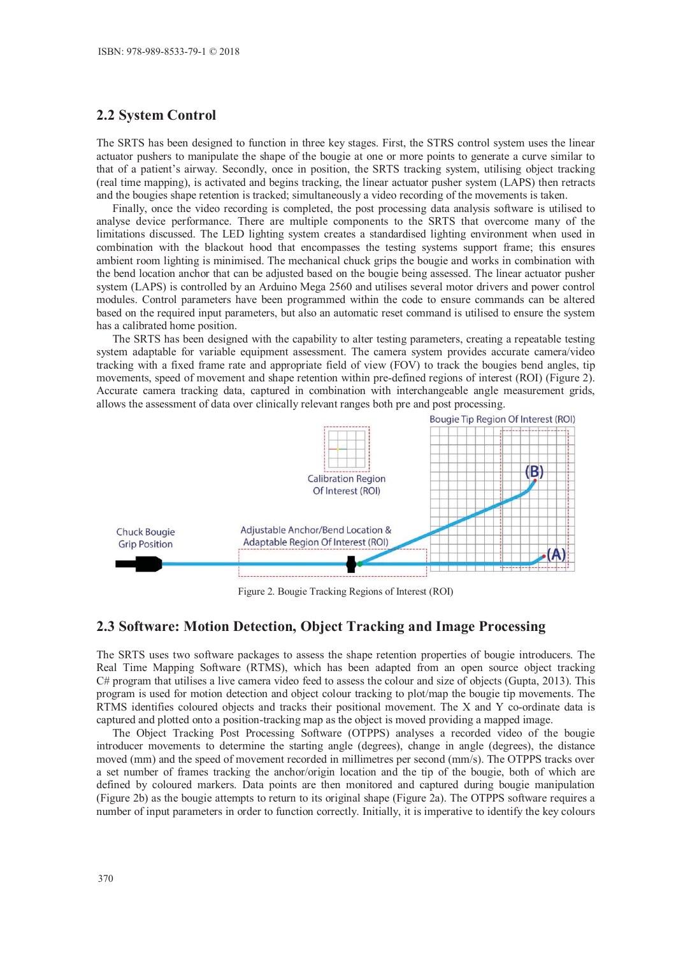#### **2.2 System Control**

The SRTS has been designed to function in three key stages. First, the STRS control system uses the linear actuator pushers to manipulate the shape of the bougie at one or more points to generate a curve similar to that of a patient's airway. Secondly, once in position, the SRTS tracking system, utilising object tracking (real time mapping), is activated and begins tracking, the linear actuator pusher system (LAPS) then retracts and the bougies shape retention is tracked; simultaneously a video recording of the movements is taken.

Finally, once the video recording is completed, the post processing data analysis software is utilised to analyse device performance. There are multiple components to the SRTS that overcome many of the limitations discussed. The LED lighting system creates a standardised lighting environment when used in combination with the blackout hood that encompasses the testing systems support frame; this ensures ambient room lighting is minimised. The mechanical chuck grips the bougie and works in combination with the bend location anchor that can be adjusted based on the bougie being assessed. The linear actuator pusher system (LAPS) is controlled by an Arduino Mega 2560 and utilises several motor drivers and power control modules. Control parameters have been programmed within the code to ensure commands can be altered based on the required input parameters, but also an automatic reset command is utilised to ensure the system has a calibrated home position.

The SRTS has been designed with the capability to alter testing parameters, creating a repeatable testing system adaptable for variable equipment assessment. The camera system provides accurate camera/video tracking with a fixed frame rate and appropriate field of view (FOV) to track the bougies bend angles, tip movements, speed of movement and shape retention within pre-defined regions of interest (ROI) (Figure 2). Accurate camera tracking data, captured in combination with interchangeable angle measurement grids, allows the assessment of data over clinically relevant ranges both pre and post processing.



Figure 2. Bougie Tracking Regions of Interest (ROI)

#### **2.3 Software: Motion Detection, Object Tracking and Image Processing**

The SRTS uses two software packages to assess the shape retention properties of bougie introducers. The Real Time Mapping Software (RTMS), which has been adapted from an open source object tracking C# program that utilises a live camera video feed to assess the colour and size of objects (Gupta, 2013). This program is used for motion detection and object colour tracking to plot/map the bougie tip movements. The RTMS identifies coloured objects and tracks their positional movement. The X and Y co-ordinate data is captured and plotted onto a position-tracking map as the object is moved providing a mapped image.

The Object Tracking Post Processing Software (OTPPS) analyses a recorded video of the bougie introducer movements to determine the starting angle (degrees), change in angle (degrees), the distance moved (mm) and the speed of movement recorded in millimetres per second (mm/s). The OTPPS tracks over a set number of frames tracking the anchor/origin location and the tip of the bougie, both of which are defined by coloured markers. Data points are then monitored and captured during bougie manipulation (Figure 2b) as the bougie attempts to return to its original shape (Figure 2a). The OTPPS software requires a number of input parameters in order to function correctly. Initially, it is imperative to identify the key colours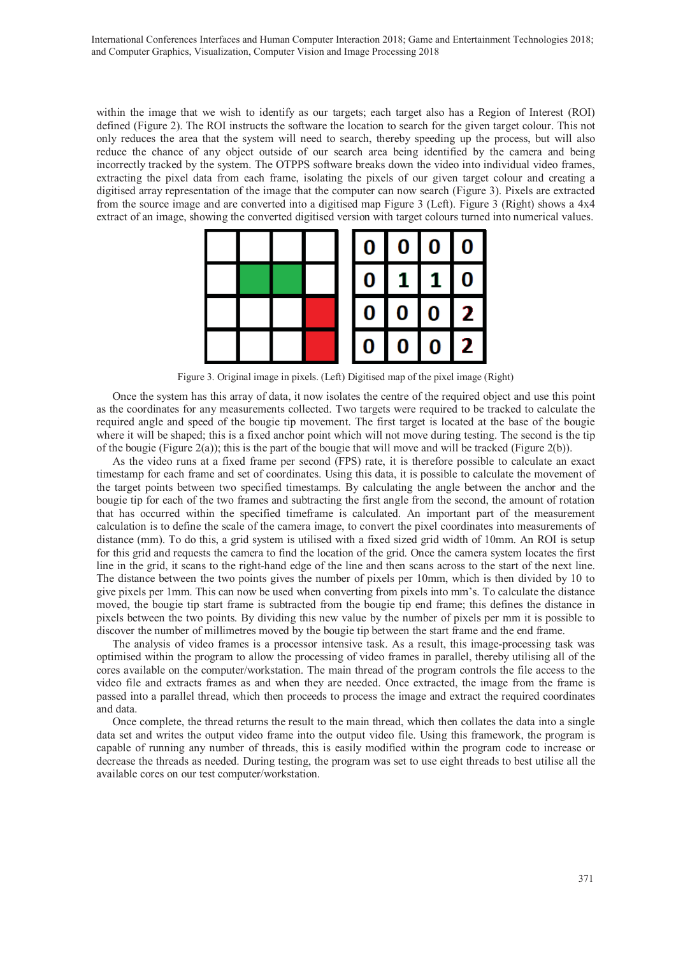within the image that we wish to identify as our targets; each target also has a Region of Interest (ROI) defined (Figure 2). The ROI instructs the software the location to search for the given target colour. This not only reduces the area that the system will need to search, thereby speeding up the process, but will also reduce the chance of any object outside of our search area being identified by the camera and being incorrectly tracked by the system. The OTPPS software breaks down the video into individual video frames, extracting the pixel data from each frame, isolating the pixels of our given target colour and creating a digitised array representation of the image that the computer can now search (Figure 3). Pixels are extracted from the source image and are converted into a digitised map Figure 3 (Left). Figure 3 (Right) shows a 4x4 extract of an image, showing the converted digitised version with target colours turned into numerical values.



Figure 3. Original image in pixels. (Left) Digitised map of the pixel image (Right)

Once the system has this array of data, it now isolates the centre of the required object and use this point as the coordinates for any measurements collected. Two targets were required to be tracked to calculate the required angle and speed of the bougie tip movement. The first target is located at the base of the bougie where it will be shaped; this is a fixed anchor point which will not move during testing. The second is the tip of the bougie (Figure 2(a)); this is the part of the bougie that will move and will be tracked (Figure 2(b)).

As the video runs at a fixed frame per second (FPS) rate, it is therefore possible to calculate an exact timestamp for each frame and set of coordinates. Using this data, it is possible to calculate the movement of the target points between two specified timestamps. By calculating the angle between the anchor and the bougie tip for each of the two frames and subtracting the first angle from the second, the amount of rotation that has occurred within the specified timeframe is calculated. An important part of the measurement calculation is to define the scale of the camera image, to convert the pixel coordinates into measurements of distance (mm). To do this, a grid system is utilised with a fixed sized grid width of 10mm. An ROI is setup for this grid and requests the camera to find the location of the grid. Once the camera system locates the first line in the grid, it scans to the right-hand edge of the line and then scans across to the start of the next line. The distance between the two points gives the number of pixels per 10mm, which is then divided by 10 to give pixels per 1mm. This can now be used when converting from pixels into mm's. To calculate the distance moved, the bougie tip start frame is subtracted from the bougie tip end frame; this defines the distance in pixels between the two points. By dividing this new value by the number of pixels per mm it is possible to discover the number of millimetres moved by the bougie tip between the start frame and the end frame.

The analysis of video frames is a processor intensive task. As a result, this image-processing task was optimised within the program to allow the processing of video frames in parallel, thereby utilising all of the cores available on the computer/workstation. The main thread of the program controls the file access to the video file and extracts frames as and when they are needed. Once extracted, the image from the frame is passed into a parallel thread, which then proceeds to process the image and extract the required coordinates and data.

Once complete, the thread returns the result to the main thread, which then collates the data into a single data set and writes the output video frame into the output video file. Using this framework, the program is capable of running any number of threads, this is easily modified within the program code to increase or decrease the threads as needed. During testing, the program was set to use eight threads to best utilise all the available cores on our test computer/workstation.